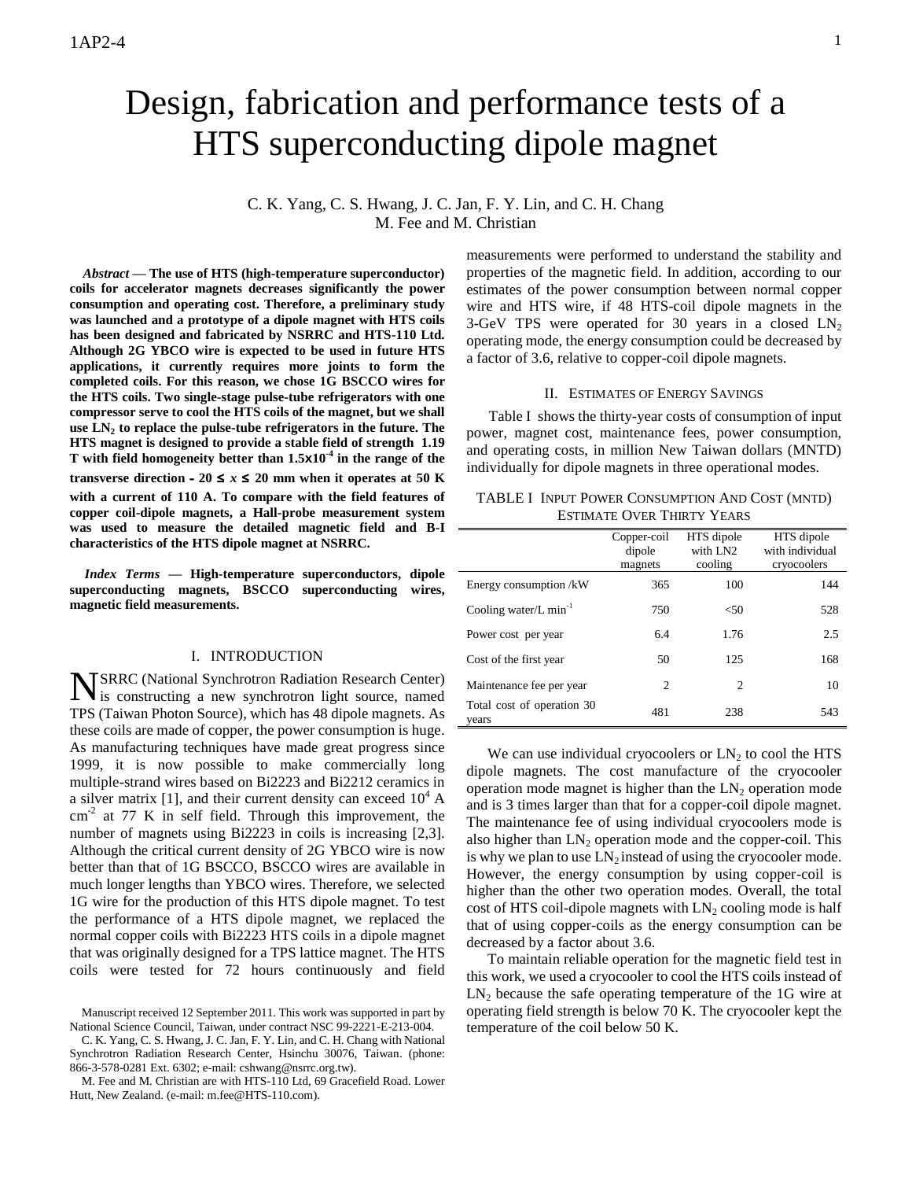# Design, fabrication and performance tests of a HTS superconducting dipole magnet

# C. K. Yang, C. S. Hwang, J. C. Jan, F. Y. Lin, and C. H. Chang M. Fee and M. Christian

*Abstract* **— The use of HTS (high-temperature superconductor) coils for accelerator magnets decreases significantly the power consumption and operating cost. Therefore, a preliminary study was launched and a prototype of a dipole magnet with HTS coils has been designed and fabricated by NSRRC and HTS-110 Ltd. Although 2G YBCO wire is expected to be used in future HTS applications, it currently requires more joints to form the completed coils. For this reason, we chose 1G BSCCO wires for the HTS coils. Two single-stage pulse-tube refrigerators with one compressor serve to cool the HTS coils of the magnet, but we shall use LN<sup>2</sup> to replace the pulse-tube refrigerators in the future. The HTS magnet is designed to provide a stable field of strength 1.19 T with field homogeneity better than 1.5x10-4 in the range of the transverse direction** - 20  $\leq$  *x*  $\leq$  20 mm when it operates at 50 K **with a current of 110 A. To compare with the field features of copper coil-dipole magnets, a Hall-probe measurement system was used to measure the detailed magnetic field and B-I characteristics of the HTS dipole magnet at NSRRC.** 

*Index Terms* **— High-temperature superconductors, dipole superconducting magnets, BSCCO superconducting wires, magnetic field measurements.**

#### I. INTRODUCTION

SRRC (National Synchrotron Radiation Research Center) NSRRC (National Synchrotron Radiation Research Center) is constructing a new synchrotron light source, named TPS (Taiwan Photon Source), which has 48 dipole magnets. As these coils are made of copper, the power consumption is huge. As manufacturing techniques have made great progress since 1999, it is now possible to make commercially long multiple-strand wires based on Bi2223 and Bi2212 ceramics in a silver matrix [1], and their current density can exceed  $10^4$  A  $\text{cm}^{-2}$  at 77 K in self field. Through this improvement, the number of magnets using Bi2223 in coils is increasing [2,3]. Although the critical current density of 2G YBCO wire is now better than that of 1G BSCCO, BSCCO wires are available in much longer lengths than YBCO wires. Therefore, we selected 1G wire for the production of this HTS dipole magnet. To test the performance of a HTS dipole magnet, we replaced the normal copper coils with Bi2223 HTS coils in a dipole magnet that was originally designed for a TPS lattice magnet. The HTS coils were tested for 72 hours continuously and field

C. K. Yang, C. S. Hwang, J. C. Jan, F. Y. Lin, and C. H. Chang with National Synchrotron Radiation Research Center, Hsinchu 30076, Taiwan. (phone: 866-3-578-0281 Ext. 6302; e-mail: cshwang@nsrrc.org.tw).

M. Fee and M. Christian are with HTS-110 Ltd, 69 Gracefield Road. Lower Hutt, New Zealand. (e-mail: m.fee@HTS-110.com).

measurements were performed to understand the stability and properties of the magnetic field. In addition, according to our estimates of the power consumption between normal copper wire and HTS wire, if 48 HTS-coil dipole magnets in the 3-GeV TPS were operated for 30 years in a closed  $LN<sub>2</sub>$ operating mode, the energy consumption could be decreased by a factor of 3.6, relative to copper-coil dipole magnets.

#### II. ESTIMATES OF ENERGY SAVINGS

Table I shows the thirty-year costs of consumption of input power, magnet cost, maintenance fees, power consumption, and operating costs, in million New Taiwan dollars (MNTD) individually for dipole magnets in three operational modes.

|                                   | TABLE I INPUT POWER CONSUMPTION AND COST (MNTD) |  |
|-----------------------------------|-------------------------------------------------|--|
| <b>ESTIMATE OVER THIRTY YEARS</b> |                                                 |  |

|                                      | Copper-coil<br>dipole<br>magnets | HTS dipole<br>with LN2<br>cooling | HTS dipole<br>with individual<br>cryocoolers |
|--------------------------------------|----------------------------------|-----------------------------------|----------------------------------------------|
| Energy consumption /kW               | 365                              | 100                               | 144                                          |
| Cooling water/ $L$ min <sup>-1</sup> | 750                              | $<$ 50                            | 528                                          |
| Power cost per year                  | 6.4                              | 1.76                              | 2.5                                          |
| Cost of the first year               | 50                               | 125                               | 168                                          |
| Maintenance fee per year             | $\overline{c}$                   | $\overline{c}$                    | 10                                           |
| Total cost of operation 30<br>years  | 481                              | 238                               | 543                                          |

We can use individual cryocoolers or  $LN<sub>2</sub>$  to cool the HTS dipole magnets. The cost manufacture of the cryocooler operation mode magnet is higher than the  $LN_2$  operation mode and is 3 times larger than that for a copper-coil dipole magnet. The maintenance fee of using individual cryocoolers mode is also higher than  $LN_2$  operation mode and the copper-coil. This is why we plan to use  $LN<sub>2</sub>$  instead of using the cryocooler mode. However, the energy consumption by using copper-coil is higher than the other two operation modes. Overall, the total cost of HTS coil-dipole magnets with  $LN_2$  cooling mode is half that of using copper-coils as the energy consumption can be decreased by a factor about 3.6.

To maintain reliable operation for the magnetic field test in this work, we used a cryocooler to cool the HTS coils instead of  $LN<sub>2</sub>$  because the safe operating temperature of the 1G wire at operating field strength is below 70 K. The cryocooler kept the temperature of the coil below 50 K.

Manuscript received 12 September 2011. This work was supported in part by National Science Council, Taiwan, under contract NSC 99-2221-E-213-004.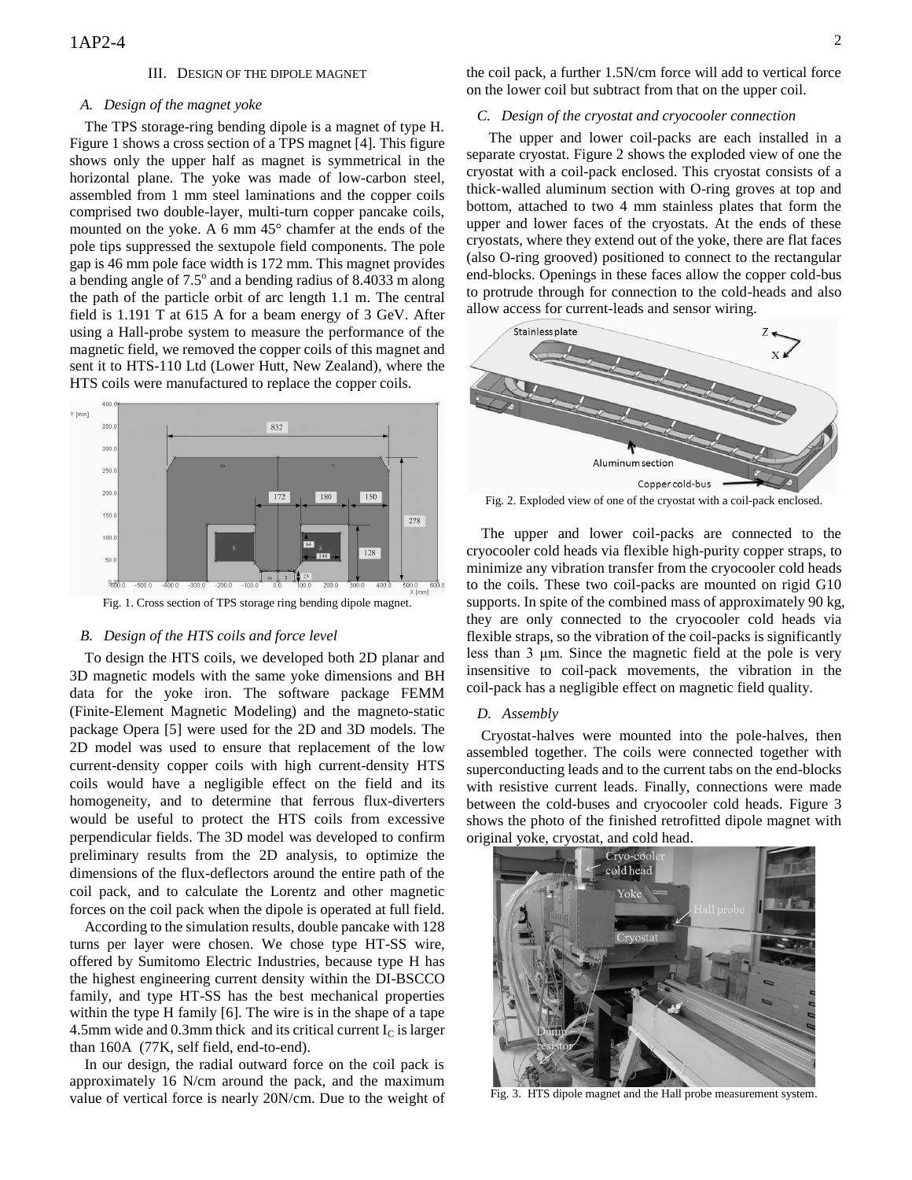#### III. DESIGN OF THE DIPOLE MAGNET

#### *A. Design of the magnet yoke*

The TPS storage-ring bending dipole is a magnet of type H. Figure 1 shows a cross section of a TPS magnet [4]. This figure shows only the upper half as magnet is symmetrical in the horizontal plane. The yoke was made of low-carbon steel, assembled from 1 mm steel laminations and the copper coils comprised two double-layer, multi-turn copper pancake coils, mounted on the yoke. A 6 mm 45° chamfer at the ends of the pole tips suppressed the sextupole field components. The pole gap is 46 mm pole face width is 172 mm. This magnet provides a bending angle of  $7.5^\circ$  and a bending radius of  $8.4033$  m along the path of the particle orbit of arc length 1.1 m. The central field is 1.191 T at 615 A for a beam energy of 3 GeV. After using a Hall-probe system to measure the performance of the magnetic field, we removed the copper coils of this magnet and sent it to HTS-110 Ltd (Lower Hutt, New Zealand), where the HTS coils were manufactured to replace the copper coils.



Fig. 1. Cross section of TPS storage ring bending dipole magnet.

### *B. Design of the HTS coils and force level*

To design the HTS coils, we developed both 2D planar and 3D magnetic models with the same yoke dimensions and BH data for the yoke iron. The software package FEMM (Finite-Element Magnetic Modeling) and the magneto-static package Opera [5] were used for the 2D and 3D models. The 2D model was used to ensure that replacement of the low current-density copper coils with high current-density HTS coils would have a negligible effect on the field and its homogeneity, and to determine that ferrous flux-diverters would be useful to protect the HTS coils from excessive perpendicular fields. The 3D model was developed to confirm preliminary results from the 2D analysis, to optimize the dimensions of the flux-deflectors around the entire path of the coil pack, and to calculate the Lorentz and other magnetic forces on the coil pack when the dipole is operated at full field.

According to the simulation results, double pancake with 128 turns per layer were chosen. We chose type HT-SS wire, offered by Sumitomo Electric Industries, because type H has the highest engineering current density within the DI-BSCCO family, and type HT-SS has the best mechanical properties within the type H family [6]. The wire is in the shape of a tape 4.5mm wide and 0.3mm thick and its critical current  $I_c$  is larger than 160A (77K, self field, end-to-end).

In our design, the radial outward force on the coil pack is approximately 16 N/cm around the pack, and the maximum value of vertical force is nearly 20N/cm. Due to the weight of

## *C. Design of the cryostat and cryocooler connection*

 The upper and lower coil-packs are each installed in a separate cryostat. Figure 2 shows the exploded view of one the cryostat with a coil-pack enclosed. This cryostat consists of a thick-walled aluminum section with O-ring groves at top and bottom, attached to two 4 mm stainless plates that form the upper and lower faces of the cryostats. At the ends of these cryostats, where they extend out of the yoke, there are flat faces (also O-ring grooved) positioned to connect to the rectangular end-blocks. Openings in these faces allow the copper cold-bus to protrude through for connection to the cold-heads and also allow access for current-leads and sensor wiring.



Fig. 2. Exploded view of one of the cryostat with a coil-pack enclosed.

The upper and lower coil-packs are connected to the cryocooler cold heads via flexible high-purity copper straps, to minimize any vibration transfer from the cryocooler cold heads to the coils. These two coil-packs are mounted on rigid G10 supports. In spite of the combined mass of approximately 90 kg, they are only connected to the cryocooler cold heads via flexible straps, so the vibration of the coil-packs is significantly less than 3 μm. Since the magnetic field at the pole is very insensitive to coil-pack movements, the vibration in the coil-pack has a negligible effect on magnetic field quality.

#### *D. Assembly*

Cryostat-halves were mounted into the pole-halves, then assembled together. The coils were connected together with superconducting leads and to the current tabs on the end-blocks with resistive current leads. Finally, connections were made between the cold-buses and cryocooler cold heads. Figure 3 shows the photo of the finished retrofitted dipole magnet with original yoke, cryostat, and cold head.



Fig. 3. HTS dipole magnet and the Hall probe measurement system.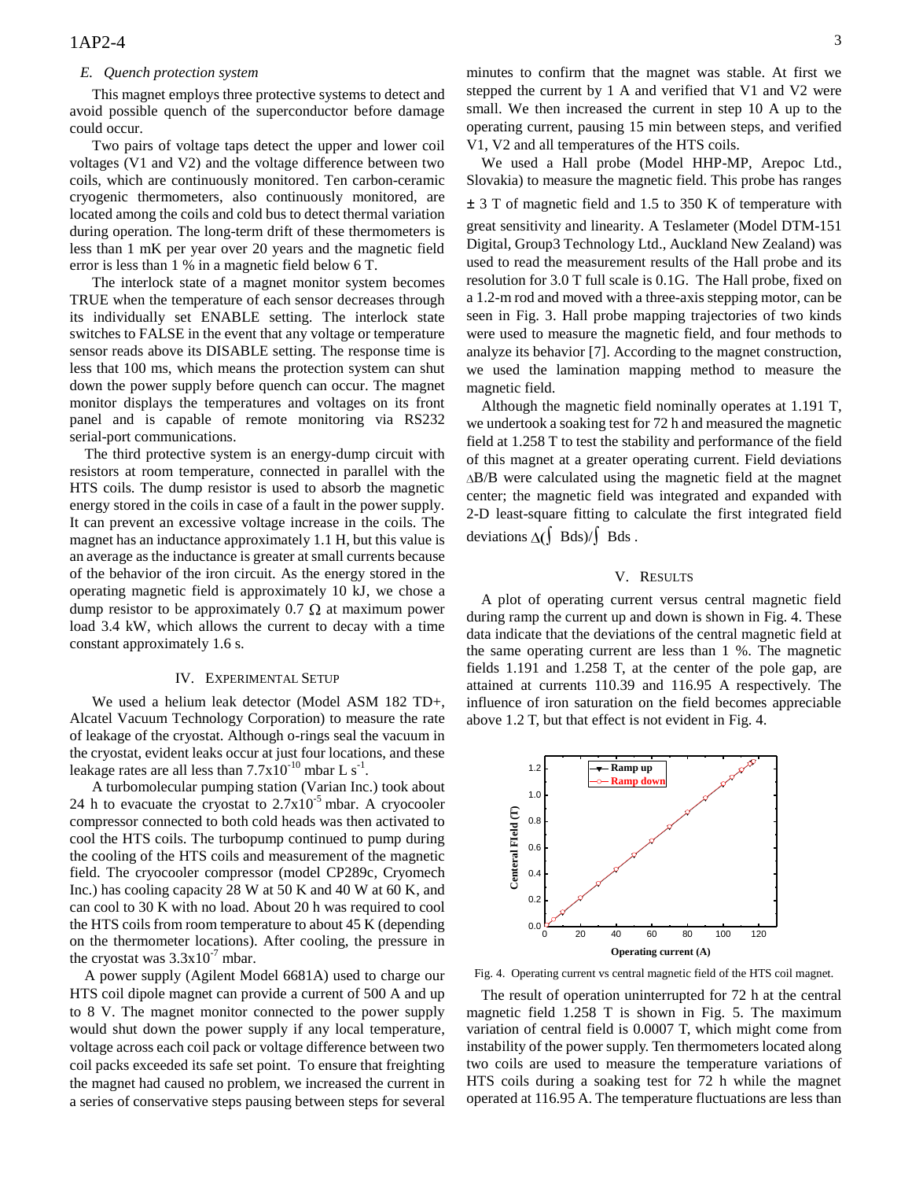#### *E. Quench protection system*

This magnet employs three protective systems to detect and avoid possible quench of the superconductor before damage could occur.

Two pairs of voltage taps detect the upper and lower coil voltages (V1 and V2) and the voltage difference between two coils, which are continuously monitored. Ten carbon-ceramic cryogenic thermometers, also continuously monitored, are located among the coils and cold bus to detect thermal variation during operation. The long-term drift of these thermometers is less than 1 mK per year over 20 years and the magnetic field error is less than 1 % in a magnetic field below 6 T.

The interlock state of a magnet monitor system becomes TRUE when the temperature of each sensor decreases through its individually set ENABLE setting. The interlock state switches to FALSE in the event that any voltage or temperature sensor reads above its DISABLE setting. The response time is less that 100 ms, which means the protection system can shut down the power supply before quench can occur. The magnet monitor displays the temperatures and voltages on its front panel and is capable of remote monitoring via RS232 serial-port communications.

The third protective system is an energy-dump circuit with resistors at room temperature, connected in parallel with the HTS coils. The dump resistor is used to absorb the magnetic energy stored in the coils in case of a fault in the power supply. It can prevent an excessive voltage increase in the coils. The magnet has an inductance approximately 1.1 H, but this value is an average as the inductance is greater at small currents because of the behavior of the iron circuit. As the energy stored in the operating magnetic field is approximately 10 kJ, we chose a dump resistor to be approximately 0.7  $\Omega$  at maximum power load 3.4 kW, which allows the current to decay with a time constant approximately 1.6 s.

#### IV. EXPERIMENTAL SETUP

We used a helium leak detector (Model ASM 182 TD+, Alcatel Vacuum Technology Corporation) to measure the rate of leakage of the cryostat. Although o-rings seal the vacuum in the cryostat, evident leaks occur at just four locations, and these leakage rates are all less than  $7.7 \times 10^{-10}$  mbar L s<sup>-1</sup>.

A turbomolecular pumping station (Varian Inc.) took about 24 h to evacuate the cryostat to  $2.7x10^{-5}$  mbar. A cryocooler compressor connected to both cold heads was then activated to cool the HTS coils. The turbopump continued to pump during the cooling of the HTS coils and measurement of the magnetic field. The cryocooler compressor (model CP289c, Cryomech Inc.) has cooling capacity 28 W at 50 K and 40 W at 60 K, and can cool to 30 K with no load. About 20 h was required to cool the HTS coils from room temperature to about 45 K (depending on the thermometer locations). After cooling, the pressure in the cryostat was  $3.3x10^{-7}$  mbar.

A power supply (Agilent Model 6681A) used to charge our HTS coil dipole magnet can provide a current of 500 A and up to 8 V. The magnet monitor connected to the power supply would shut down the power supply if any local temperature, voltage across each coil pack or voltage difference between two coil packs exceeded its safe set point. To ensure that freighting the magnet had caused no problem, we increased the current in a series of conservative steps pausing between steps for several

minutes to confirm that the magnet was stable. At first we stepped the current by 1 A and verified that V1 and V2 were small. We then increased the current in step 10 A up to the operating current, pausing 15 min between steps, and verified V1, V2 and all temperatures of the HTS coils.

We used a Hall probe (Model HHP-MP, Arepoc Ltd., Slovakia) to measure the magnetic field. This probe has ranges ± 3 T of magnetic field and 1.5 to 350 K of temperature with great sensitivity and linearity. A Teslameter (Model DTM-151 Digital, Group3 Technology Ltd., Auckland New Zealand) was used to read the measurement results of the Hall probe and its resolution for 3.0 T full scale is 0.1G. The Hall probe, fixed on a 1.2-m rod and moved with a three-axis stepping motor, can be seen in Fig. 3. Hall probe mapping trajectories of two kinds were used to measure the magnetic field, and four methods to

we used the lamination mapping method to measure the magnetic field. Although the magnetic field nominally operates at 1.191 T, we undertook a soaking test for 72 h and measured the magnetic field at 1.258 T to test the stability and performance of the field of this magnet at a greater operating current. Field deviations  $\Delta$ B/B were calculated using the magnetic field at the magnet center; the magnetic field was integrated and expanded with 2-D least-square fitting to calculate the first integrated field

analyze its behavior [7]. According to the magnet construction,

# V. RESULTS

deviations  $\Delta$ (∫ Bds)/∫ Bds.

A plot of operating current versus central magnetic field during ramp the current up and down is shown in Fig. 4. These data indicate that the deviations of the central magnetic field at the same operating current are less than 1 %. The magnetic fields 1.191 and 1.258 T, at the center of the pole gap, are attained at currents 110.39 and 116.95 A respectively. The influence of iron saturation on the field becomes appreciable above 1.2 T, but that effect is not evident in Fig. 4.



Fig. 4. Operating current vs central magnetic field of the HTS coil magnet.

The result of operation uninterrupted for 72 h at the central magnetic field 1.258 T is shown in Fig. 5. The maximum variation of central field is 0.0007 T, which might come from instability of the power supply. Ten thermometers located along two coils are used to measure the temperature variations of HTS coils during a soaking test for 72 h while the magnet operated at 116.95 A. The temperature fluctuations are less than